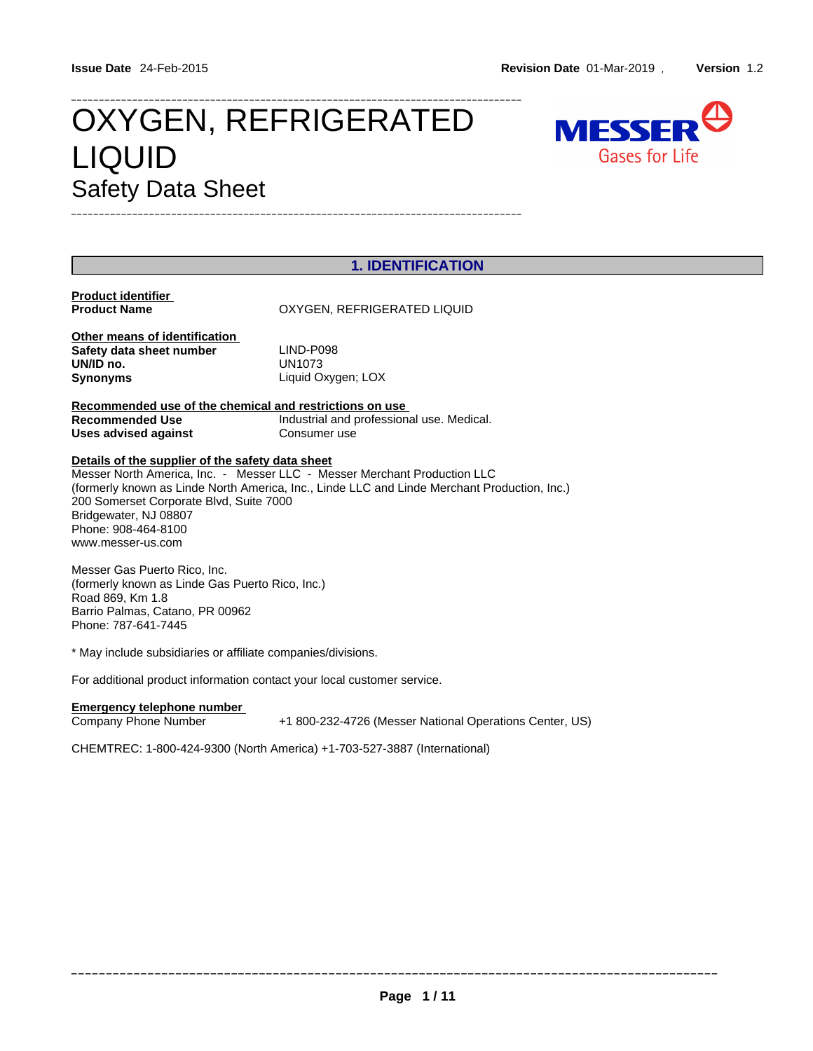# OXYGEN, REFRIGERATED MESSER LIQUID Gases for Life Safety Data Sheet \_\_\_\_\_\_\_\_\_\_\_\_\_\_\_\_\_\_\_\_\_\_\_\_\_\_\_\_\_\_\_\_\_\_\_\_\_\_\_\_\_\_\_\_\_\_\_\_\_\_\_\_\_\_\_\_\_\_\_\_\_\_\_\_\_\_\_\_\_\_\_\_\_\_\_\_\_\_\_\_\_



| <b>1. IDENTIFICATION</b>                                |                                                                                              |  |  |  |
|---------------------------------------------------------|----------------------------------------------------------------------------------------------|--|--|--|
| Product identifier                                      |                                                                                              |  |  |  |
| <b>Product Name</b>                                     | OXYGEN, REFRIGERATED LIQUID                                                                  |  |  |  |
|                                                         |                                                                                              |  |  |  |
| Other means of identification                           |                                                                                              |  |  |  |
| Safety data sheet number                                | LIND-P098                                                                                    |  |  |  |
| UN/ID no.                                               | UN1073                                                                                       |  |  |  |
| Synonyms                                                | Liquid Oxygen; LOX                                                                           |  |  |  |
|                                                         |                                                                                              |  |  |  |
| Recommended use of the chemical and restrictions on use |                                                                                              |  |  |  |
| Recommended Use                                         | Industrial and professional use. Medical.                                                    |  |  |  |
| Uses advised against                                    | Consumer use                                                                                 |  |  |  |
| Details of the supplier of the safety data sheet        |                                                                                              |  |  |  |
|                                                         | Messer North America, Inc. - Messer LLC - Messer Merchant Production LLC                     |  |  |  |
|                                                         | (formerly known as Linde North America, Inc., Linde LLC and Linde Merchant Production, Inc.) |  |  |  |
| 200 Somerset Corporate Blvd, Suite 7000                 |                                                                                              |  |  |  |
| Bridgewater, NJ 08807                                   |                                                                                              |  |  |  |
| Phone: 908-464-8100                                     |                                                                                              |  |  |  |
| www.messer-us.com                                       |                                                                                              |  |  |  |
|                                                         |                                                                                              |  |  |  |
|                                                         |                                                                                              |  |  |  |

Messer Gas Puerto Rico, Inc. (formerly known as Linde Gas Puerto Rico, Inc.) Road 869, Km 1.8 Barrio Palmas, Catano, PR 00962 Phone: 787-641-7445

\* May include subsidiaries or affiliate companies/divisions.

For additional product information contact your local customer service.

#### **Emergency telephone number**

Company Phone Number +1 800-232-4726 (Messer National Operations Center, US)

CHEMTREC: 1-800-424-9300 (North America) +1-703-527-3887 (International)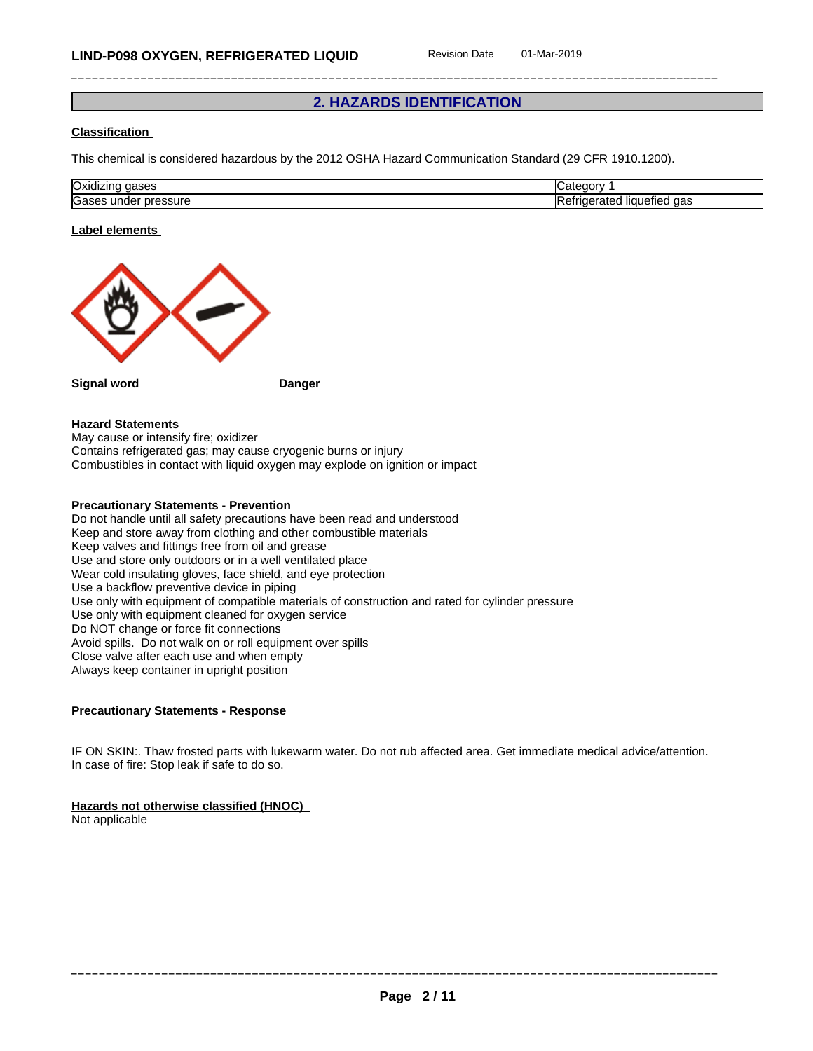## **2. HAZARDS IDENTIFICATION**

### **Classification**

This chemical is considered hazardous by the 2012 OSHA Hazard Communication Standard (29 CFR 1910.1200).

| <b>Oxic</b><br>''         |     |
|---------------------------|-----|
| ⌒<br>Kaas<br>sure<br>unu⊬ | uaa |

#### **Label elements**



#### **Hazard Statements**

May cause or intensify fire; oxidizer Contains refrigerated gas; may cause cryogenic burns or injury Combustibles in contact with liquid oxygen may explode on ignition or impact

## **Precautionary Statements - Prevention**

Do not handle until all safety precautions have been read and understood Keep and store away from clothing and other combustible materials Keep valves and fittings free from oil and grease Use and store only outdoors or in a well ventilated place Wear cold insulating gloves, face shield, and eye protection Use a backflow preventive device in piping Use only with equipment of compatible materials of construction and rated for cylinder pressure Use only with equipment cleaned for oxygen service Do NOT change or force fit connections Avoid spills. Do not walk on or roll equipment over spills Close valve after each use and when empty Always keep container in upright position

#### **Precautionary Statements - Response**

IF ON SKIN:. Thaw frosted parts with lukewarm water. Do not rub affected area. Get immediate medical advice/attention. In case of fire: Stop leak if safe to do so.

#### **Hazards not otherwise classified (HNOC)**

Not applicable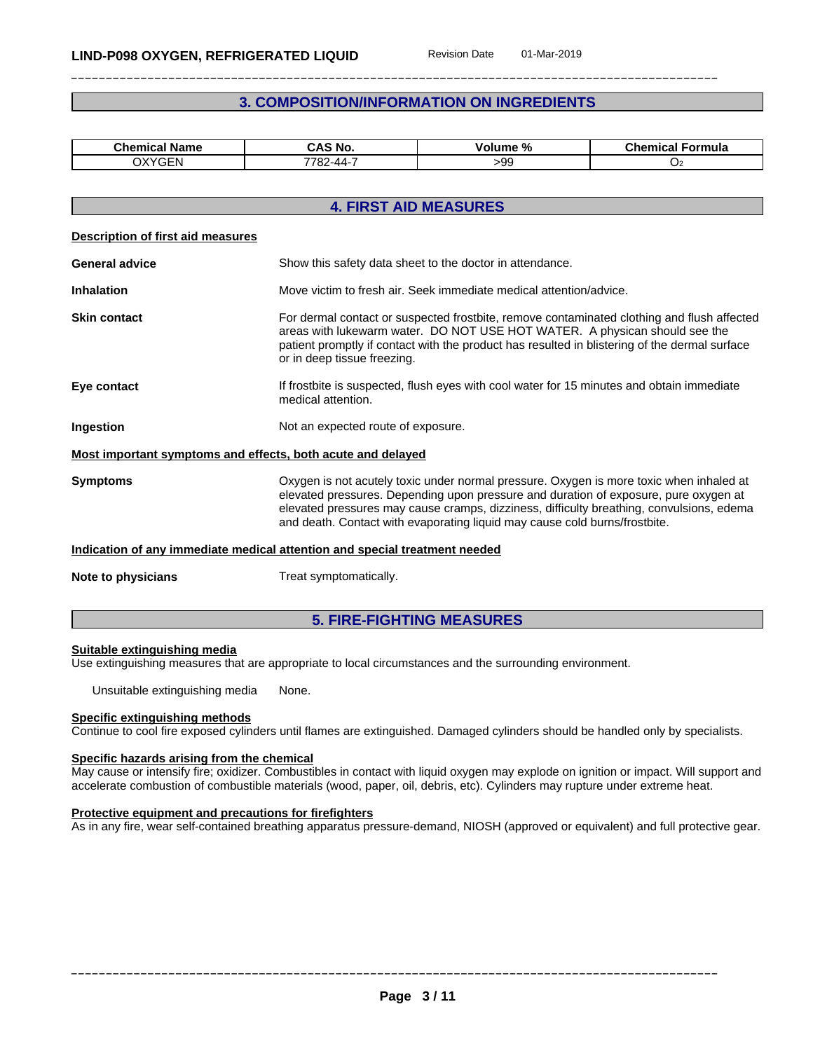## **3. COMPOSITION/INFORMATION ON INGREDIENTS**

| <b>Chemical Name</b> | CAS No. | - 04<br>voiume<br>-70 | $\sim$<br>Formula<br>⊸nemical ⊏ |
|----------------------|---------|-----------------------|---------------------------------|
| <b>OXYGEN</b>        | 7700    | -aa                   |                                 |
| - 11 N               |         | - Ju                  |                                 |

|                                                             | <b>4. FIRST AID MEASURES</b>                                                                                                                                                                                                                                                                                                                              |  |  |  |
|-------------------------------------------------------------|-----------------------------------------------------------------------------------------------------------------------------------------------------------------------------------------------------------------------------------------------------------------------------------------------------------------------------------------------------------|--|--|--|
| <b>Description of first aid measures</b>                    |                                                                                                                                                                                                                                                                                                                                                           |  |  |  |
| <b>General advice</b>                                       | Show this safety data sheet to the doctor in attendance.                                                                                                                                                                                                                                                                                                  |  |  |  |
| <b>Inhalation</b>                                           | Move victim to fresh air. Seek immediate medical attention/advice.                                                                                                                                                                                                                                                                                        |  |  |  |
| <b>Skin contact</b>                                         | For dermal contact or suspected frostbite, remove contaminated clothing and flush affected<br>areas with lukewarm water. DO NOT USE HOT WATER. A physican should see the<br>patient promptly if contact with the product has resulted in blistering of the dermal surface<br>or in deep tissue freezing.                                                  |  |  |  |
| Eye contact                                                 | If frostbite is suspected, flush eyes with cool water for 15 minutes and obtain immediate<br>medical attention.                                                                                                                                                                                                                                           |  |  |  |
| Ingestion                                                   | Not an expected route of exposure.                                                                                                                                                                                                                                                                                                                        |  |  |  |
| Most important symptoms and effects, both acute and delayed |                                                                                                                                                                                                                                                                                                                                                           |  |  |  |
| <b>Symptoms</b>                                             | Oxygen is not acutely toxic under normal pressure. Oxygen is more toxic when inhaled at<br>elevated pressures. Depending upon pressure and duration of exposure, pure oxygen at<br>elevated pressures may cause cramps, dizziness, difficulty breathing, convulsions, edema<br>and death. Contact with evaporating liquid may cause cold burns/frostbite. |  |  |  |
|                                                             | Indication of any immediate medical attention and special treatment needed                                                                                                                                                                                                                                                                                |  |  |  |
| Note to physicians                                          | Treat symptomatically.                                                                                                                                                                                                                                                                                                                                    |  |  |  |

### **5. FIRE-FIGHTING MEASURES**

#### **Suitable extinguishing media**

Use extinguishing measures that are appropriate to local circumstances and the surrounding environment.

Unsuitable extinguishing media None.

#### **Specific extinguishing methods**

Continue to cool fire exposed cylinders untilflames are extinguished. Damaged cylinders should be handled only by specialists.

#### **Specific hazards arising from the chemical**

May cause or intensify fire; oxidizer. Combustibles in contact with liquid oxygen may explode on ignition or impact. Will support and accelerate combustion of combustible materials (wood, paper, oil, debris, etc). Cylinders may rupture under extreme heat.

#### **Protective equipment and precautions for firefighters**

As in any fire, wear self-contained breathing apparatus pressure-demand, NIOSH (approved or equivalent) and full protective gear.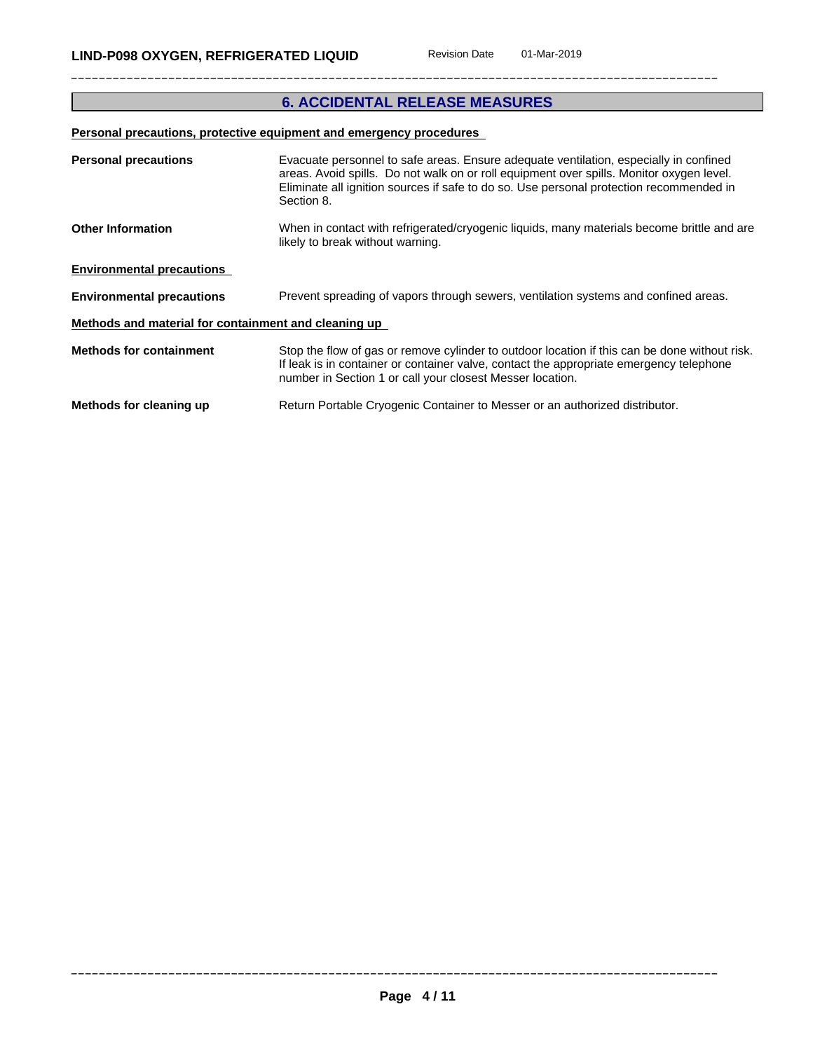## **6. ACCIDENTAL RELEASE MEASURES**

## **Personal precautions, protective equipment and emergency procedures**

| <b>Personal precautions</b>                          | Evacuate personnel to safe areas. Ensure adequate ventilation, especially in confined<br>areas. Avoid spills. Do not walk on or roll equipment over spills. Monitor oxygen level.<br>Eliminate all ignition sources if safe to do so. Use personal protection recommended in<br>Section 8. |
|------------------------------------------------------|--------------------------------------------------------------------------------------------------------------------------------------------------------------------------------------------------------------------------------------------------------------------------------------------|
| <b>Other Information</b>                             | When in contact with refrigerated/cryogenic liquids, many materials become brittle and are<br>likely to break without warning.                                                                                                                                                             |
| <b>Environmental precautions</b>                     |                                                                                                                                                                                                                                                                                            |
| <b>Environmental precautions</b>                     | Prevent spreading of vapors through sewers, ventilation systems and confined areas.                                                                                                                                                                                                        |
| Methods and material for containment and cleaning up |                                                                                                                                                                                                                                                                                            |
| <b>Methods for containment</b>                       | Stop the flow of gas or remove cylinder to outdoor location if this can be done without risk.<br>If leak is in container or container valve, contact the appropriate emergency telephone<br>number in Section 1 or call your closest Messer location.                                      |
| Methods for cleaning up                              | Return Portable Cryogenic Container to Messer or an authorized distributor.                                                                                                                                                                                                                |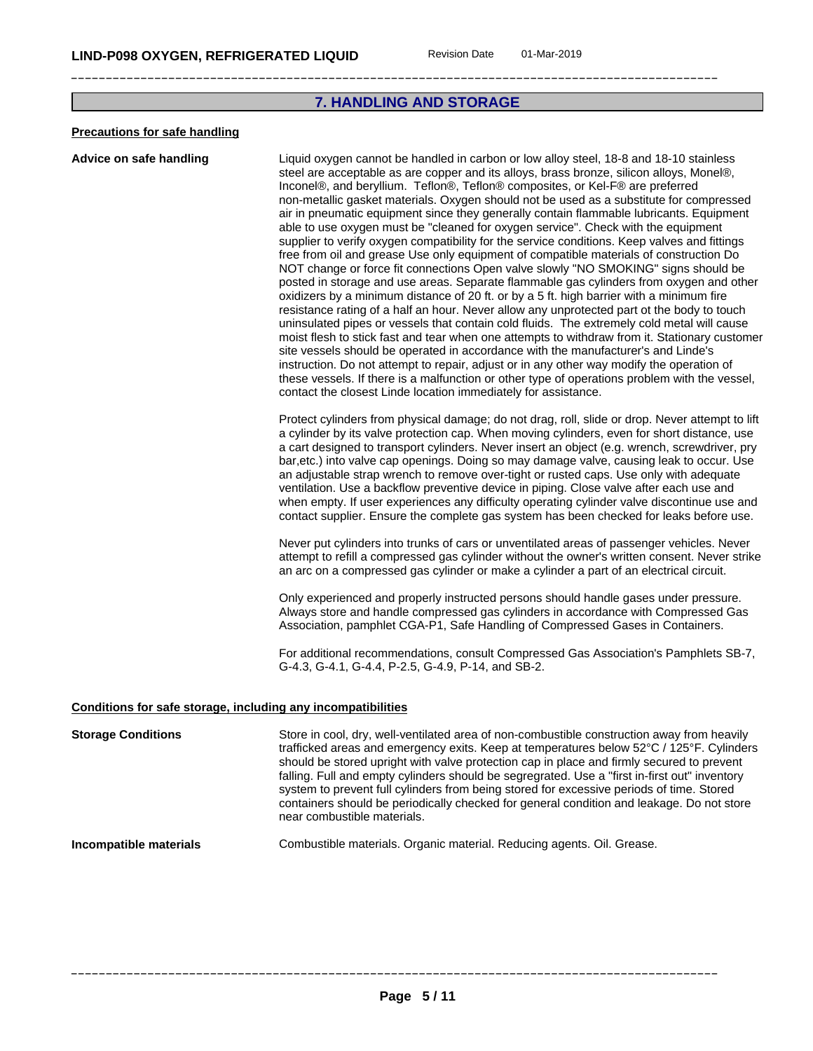### **7. HANDLING AND STORAGE**

#### **Precautions for safe handling**

**Advice on safe handling** Liquid oxygen cannot be handled in carbon or low alloy steel, 18-8 and 18-10 stainless steel are acceptable as are copper and its alloys, brass bronze, silicon alloys, Monel®, Inconel®, and beryllium. Teflon®, Teflon® composites, or Kel-F® are preferred non-metallic gasket materials. Oxygen should not be used as a substitute for compressed air in pneumatic equipment since they generally contain flammable lubricants. Equipment able to use oxygen must be "cleaned for oxygen service". Check with the equipment supplier to verify oxygen compatibility for the service conditions. Keep valves and fittings free from oil and grease Use only equipment of compatible materials of construction Do NOT change or force fit connections Open valve slowly "NO SMOKING" signs should be posted in storage and use areas. Separate flammable gas cylinders from oxygen and other oxidizers by a minimum distance of 20 ft. or by a 5 ft. high barrier with a minimum fire resistance rating of a half an hour. Never allow any unprotected part ot the body to touch uninsulated pipes or vessels that contain cold fluids. The extremely cold metal will cause moist flesh to stick fast and tear when one attempts to withdraw from it. Stationary customer site vessels should be operated in accordance with the manufacturer's and Linde's instruction. Do not attempt to repair, adjust or in any other way modify the operation of these vessels. If there is a malfunction or other type of operations problem with the vessel, contact the closest Linde location immediately for assistance.

> Protect cylinders from physical damage; do not drag, roll, slide or drop. Never attempt to lift a cylinder by its valve protection cap. When moving cylinders, even for short distance, use a cart designed to transport cylinders. Never insert an object (e.g. wrench, screwdriver, pry bar,etc.) into valve cap openings. Doing so may damage valve, causing leak to occur. Use an adjustable strap wrench to remove over-tight or rusted caps. Use only with adequate ventilation. Use a backflow preventive device in piping. Close valve after each use and when empty. If user experiences any difficulty operating cylinder valve discontinue use and contact supplier. Ensure the complete gas system has been checked for leaks before use.

> Never put cylinders into trunks of cars or unventilated areas of passenger vehicles. Never attempt to refill a compressed gas cylinder without the owner's written consent. Never strike an arc on a compressed gas cylinder or make a cylinder a part of an electrical circuit.

Only experienced and properly instructed persons should handle gases under pressure. Always store and handle compressed gas cylinders in accordance with Compressed Gas Association, pamphlet CGA-P1, Safe Handling of Compressed Gases in Containers.

For additional recommendations, consult Compressed Gas Association's Pamphlets SB-7, G-4.3, G-4.1, G-4.4, P-2.5, G-4.9, P-14, and SB-2.

#### **Conditions for safe storage, including any incompatibilities**

**Storage Conditions** Store in cool, dry, well-ventilated area of non-combustible construction away from heavily trafficked areas and emergency exits. Keep at temperatures below 52°C / 125°F. Cylinders should be stored upright with valve protection cap in place and firmly secured to prevent falling. Full and empty cylinders should be segregrated. Use a "first in-first out" inventory system to prevent full cylinders from being stored for excessive periods of time. Stored containers should be periodically checked for general condition and leakage. Do not store near combustible materials.

#### **Incompatible materials Combustible materials. Organic material. Reducing agents. Oil. Grease.**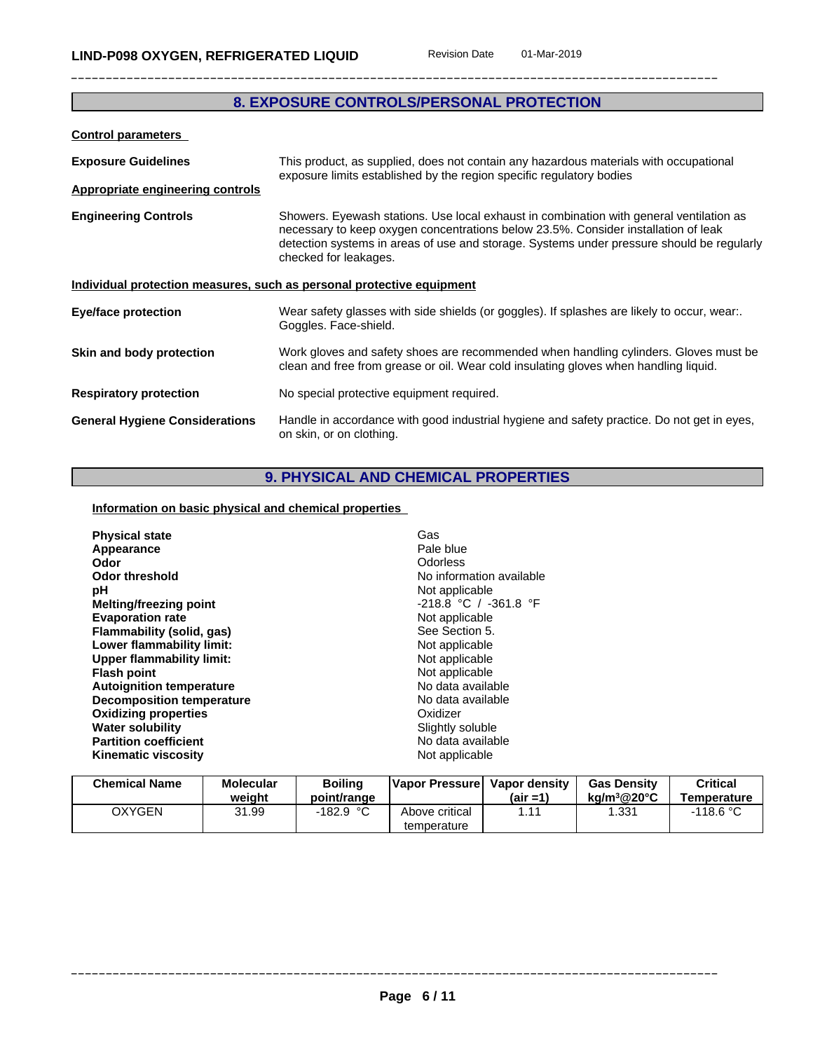## **8. EXPOSURE CONTROLS/PERSONAL PROTECTION**

| <b>Control parameters</b>               |                                                                                                                                                                                                                                                                                                     |  |
|-----------------------------------------|-----------------------------------------------------------------------------------------------------------------------------------------------------------------------------------------------------------------------------------------------------------------------------------------------------|--|
| <b>Exposure Guidelines</b>              | This product, as supplied, does not contain any hazardous materials with occupational<br>exposure limits established by the region specific regulatory bodies                                                                                                                                       |  |
| <b>Appropriate engineering controls</b> |                                                                                                                                                                                                                                                                                                     |  |
| <b>Engineering Controls</b>             | Showers. Eyewash stations. Use local exhaust in combination with general ventilation as<br>necessary to keep oxygen concentrations below 23.5%. Consider installation of leak<br>detection systems in areas of use and storage. Systems under pressure should be regularly<br>checked for leakages. |  |
|                                         | Individual protection measures, such as personal protective equipment                                                                                                                                                                                                                               |  |
| <b>Eye/face protection</b>              | Wear safety glasses with side shields (or goggles). If splashes are likely to occur, wear<br>Goggles. Face-shield.                                                                                                                                                                                  |  |
| Skin and body protection                | Work gloves and safety shoes are recommended when handling cylinders. Gloves must be<br>clean and free from grease or oil. Wear cold insulating gloves when handling liquid.                                                                                                                        |  |
| <b>Respiratory protection</b>           | No special protective equipment required.                                                                                                                                                                                                                                                           |  |
| <b>General Hygiene Considerations</b>   | Handle in accordance with good industrial hygiene and safety practice. Do not get in eyes,<br>on skin, or on clothing.                                                                                                                                                                              |  |

## **9. PHYSICAL AND CHEMICAL PROPERTIES**

**Information on basic physical and chemical properties**

| <b>Physical state</b>            | Gas                      |
|----------------------------------|--------------------------|
| Appearance                       | Pale blue                |
| Odor                             | Odorless                 |
| <b>Odor threshold</b>            | No information available |
| рH                               | Not applicable           |
| Melting/freezing point           | $-218.8 °C / -361.8 °F$  |
| <b>Evaporation rate</b>          | Not applicable           |
| Flammability (solid, gas)        | See Section 5.           |
| Lower flammability limit:        | Not applicable           |
| <b>Upper flammability limit:</b> | Not applicable           |
| <b>Flash point</b>               | Not applicable           |
| <b>Autoignition temperature</b>  | No data available        |
| <b>Decomposition temperature</b> | No data available        |
| <b>Oxidizing properties</b>      | Oxidizer                 |
|                                  |                          |
| <b>Water solubility</b>          | Slightly soluble         |
| <b>Partition coefficient</b>     | No data available        |
| <b>Kinematic viscosity</b>       | Not applicable           |
|                                  |                          |

| <b>Chemical Name</b> | <b>Molecular</b><br>weiaht | Boiling<br>point/range | <b>IVapor Pressurel</b>       | Vapor density<br>(air =1) | <b>Gas Density</b><br>kg/m $3@20^{\circ}$ C | Critical<br>Temperature |
|----------------------|----------------------------|------------------------|-------------------------------|---------------------------|---------------------------------------------|-------------------------|
| <b>OXYGEN</b>        | 31.99                      | -182.9 °Ր              | Above critical<br>temperature |                           | .331                                        | $-118.6 °C$             |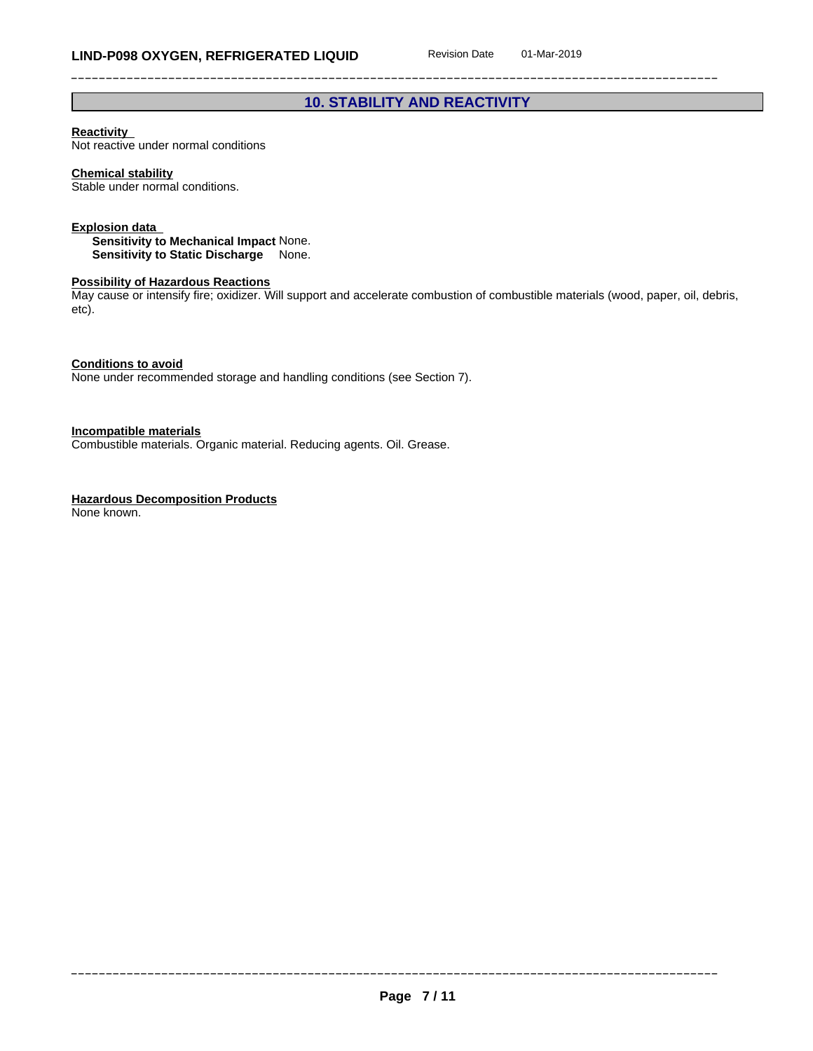## **10. STABILITY AND REACTIVITY**

#### **Reactivity**

Not reactive under normal conditions

#### **Chemical stability**

Stable under normal conditions.

#### **Explosion data**

**Sensitivity to Mechanical Impact** None. **Sensitivity to Static Discharge** None.

#### **Possibility of Hazardous Reactions**

May cause or intensify fire; oxidizer. Will support and accelerate combustion of combustible materials (wood, paper, oil, debris, etc).

**Conditions to avoid**

None under recommended storage and handling conditions (see Section 7).

**Incompatible materials**

Combustible materials. Organic material. Reducing agents. Oil. Grease.

#### **Hazardous Decomposition Products**

None known.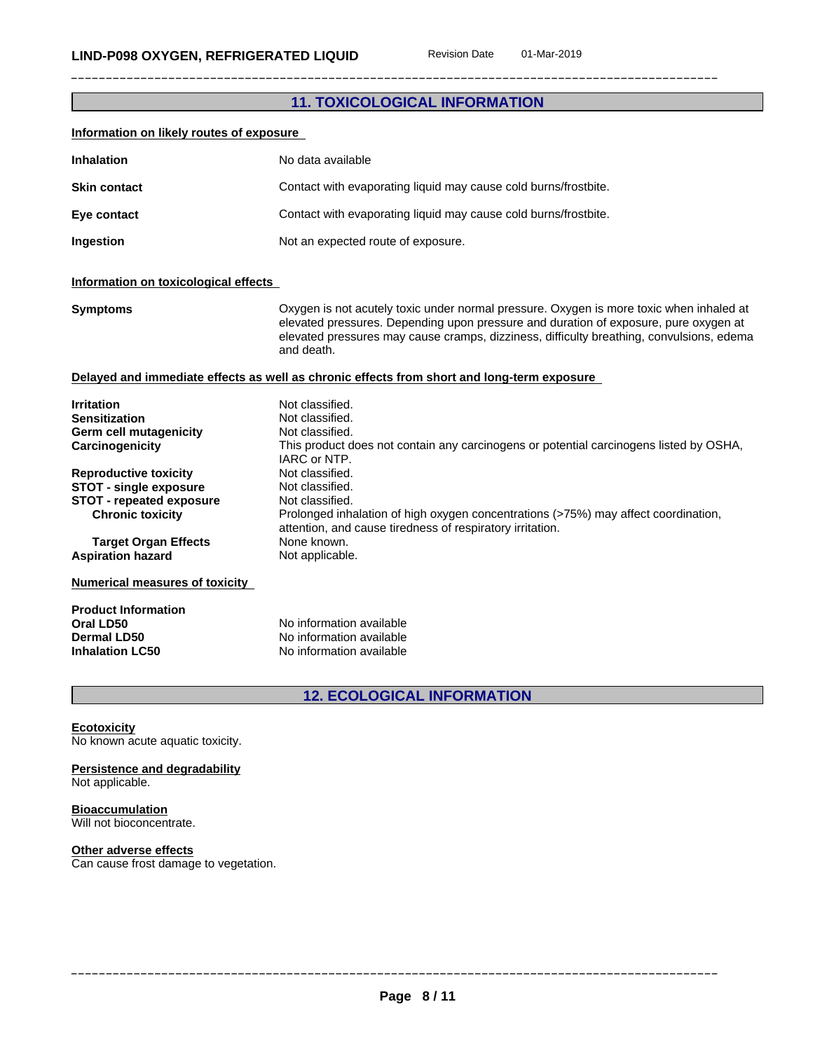| <b>11. TOXICOLOGICAL INFORMATION</b> |  |
|--------------------------------------|--|
|--------------------------------------|--|

| Information on likely routes of exposure                                                                                                                                                                                                                                                                           |                                                                                                                                                                                                                                                                                                                                                                                                               |  |  |
|--------------------------------------------------------------------------------------------------------------------------------------------------------------------------------------------------------------------------------------------------------------------------------------------------------------------|---------------------------------------------------------------------------------------------------------------------------------------------------------------------------------------------------------------------------------------------------------------------------------------------------------------------------------------------------------------------------------------------------------------|--|--|
| <b>Inhalation</b>                                                                                                                                                                                                                                                                                                  | No data available                                                                                                                                                                                                                                                                                                                                                                                             |  |  |
| <b>Skin contact</b>                                                                                                                                                                                                                                                                                                | Contact with evaporating liquid may cause cold burns/frostbite.                                                                                                                                                                                                                                                                                                                                               |  |  |
| Eye contact                                                                                                                                                                                                                                                                                                        | Contact with evaporating liquid may cause cold burns/frostbite.                                                                                                                                                                                                                                                                                                                                               |  |  |
| Not an expected route of exposure.<br>Ingestion                                                                                                                                                                                                                                                                    |                                                                                                                                                                                                                                                                                                                                                                                                               |  |  |
| Information on toxicological effects                                                                                                                                                                                                                                                                               |                                                                                                                                                                                                                                                                                                                                                                                                               |  |  |
| <b>Symptoms</b>                                                                                                                                                                                                                                                                                                    | Oxygen is not acutely toxic under normal pressure. Oxygen is more toxic when inhaled at<br>elevated pressures. Depending upon pressure and duration of exposure, pure oxygen at<br>elevated pressures may cause cramps, dizziness, difficulty breathing, convulsions, edema<br>and death.                                                                                                                     |  |  |
|                                                                                                                                                                                                                                                                                                                    | Delayed and immediate effects as well as chronic effects from short and long-term exposure                                                                                                                                                                                                                                                                                                                    |  |  |
| <b>Irritation</b><br>Sensitization<br>Germ cell mutagenicity<br>Carcinogenicity<br><b>Reproductive toxicity</b><br><b>STOT - single exposure</b><br><b>STOT - repeated exposure</b><br><b>Chronic toxicity</b><br><b>Target Organ Effects</b><br><b>Aspiration hazard</b><br><b>Numerical measures of toxicity</b> | Not classified.<br>Not classified.<br>Not classified.<br>This product does not contain any carcinogens or potential carcinogens listed by OSHA,<br>IARC or NTP.<br>Not classified.<br>Not classified.<br>Not classified.<br>Prolonged inhalation of high oxygen concentrations (>75%) may affect coordination,<br>attention, and cause tiredness of respiratory irritation.<br>None known.<br>Not applicable. |  |  |
| <b>Product Information</b><br>Oral LD50<br>Dermal LD50<br><b>Inhalation LC50</b>                                                                                                                                                                                                                                   | No information available<br>No information available<br>No information available                                                                                                                                                                                                                                                                                                                              |  |  |
|                                                                                                                                                                                                                                                                                                                    | <b>12. ECOLOGICAL INFORMATION</b>                                                                                                                                                                                                                                                                                                                                                                             |  |  |
| <b>Ecotoxicity</b><br>No known acute aquatic toxicity.                                                                                                                                                                                                                                                             |                                                                                                                                                                                                                                                                                                                                                                                                               |  |  |

#### **Persistence and degradability** Not applicable.

**Bioaccumulation** Will not bioconcentrate.

#### **Other adverse effects**

Can cause frost damage to vegetation.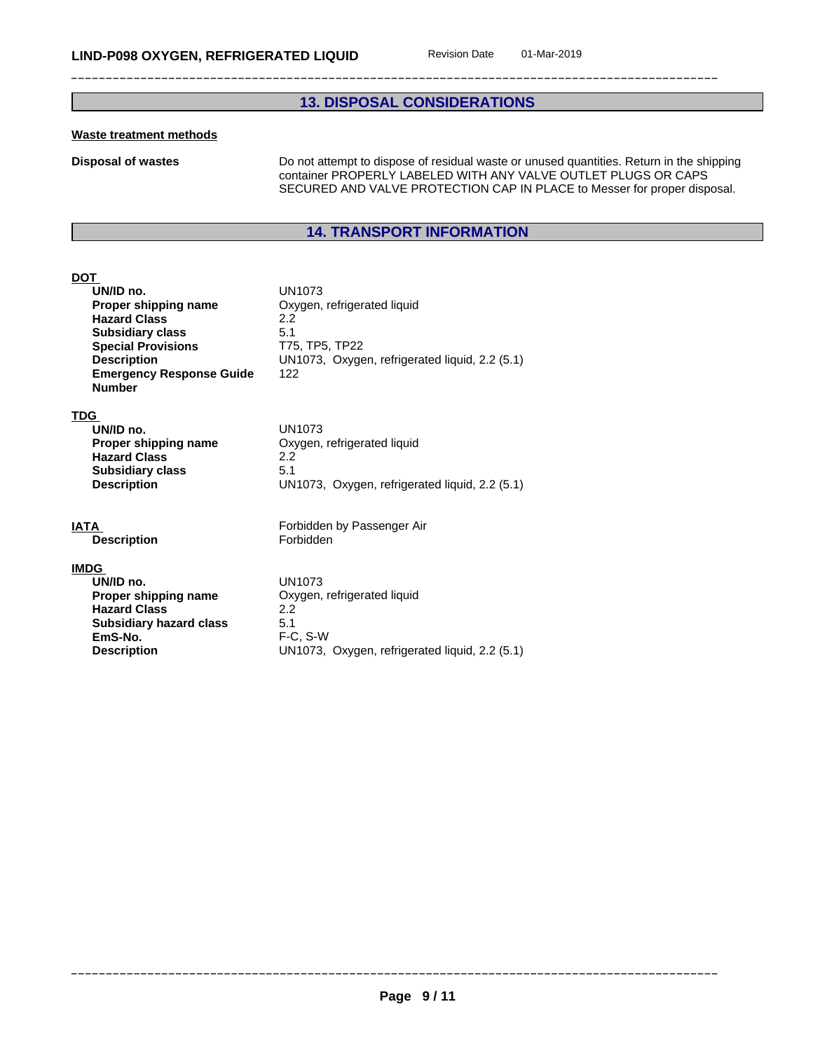## **13. DISPOSAL CONSIDERATIONS**

#### **Waste treatment methods**

**Disposal of wastes** Do not attempt to dispose of residual waste or unused quantities. Return in the shipping container PROPERLY LABELED WITH ANY VALVE OUTLET PLUGS OR CAPS SECURED AND VALVE PROTECTION CAP IN PLACE to Messer for proper disposal.

## **14. TRANSPORT INFORMATION**

#### **DOT**

| וש   |                                                  |                                                |
|------|--------------------------------------------------|------------------------------------------------|
|      | UN/ID no.                                        | <b>UN1073</b>                                  |
|      | Proper shipping name                             | Oxygen, refrigerated liquid                    |
|      | <b>Hazard Class</b>                              | 2.2                                            |
|      | <b>Subsidiary class</b>                          | 5.1                                            |
|      | <b>Special Provisions</b>                        | T75, TP5, TP22                                 |
|      | <b>Description</b>                               | UN1073, Oxygen, refrigerated liquid, 2.2 (5.1) |
|      | <b>Emergency Response Guide</b><br><b>Number</b> | 122                                            |
| TDG  |                                                  |                                                |
|      | UN/ID no.                                        | <b>UN1073</b>                                  |
|      | Proper shipping name                             | Oxygen, refrigerated liquid                    |
|      | <b>Hazard Class</b>                              | 2.2                                            |
|      | <b>Subsidiary class</b>                          | 5.1                                            |
|      | <b>Description</b>                               | UN1073, Oxygen, refrigerated liquid, 2.2 (5.1) |
| IATA |                                                  | Forbidden by Passenger Air                     |
|      | <b>Description</b>                               | Forbidden                                      |
|      | <u>IMDG</u>                                      |                                                |
|      | UN/ID no.                                        | <b>UN1073</b>                                  |
|      | Proper shipping name                             | Oxygen, refrigerated liquid                    |
|      | <b>Hazard Class</b>                              | 2.2                                            |
|      | <b>Subsidiary hazard class</b>                   | 5.1                                            |
|      | EmS-No.                                          | F-C, S-W                                       |
|      | <b>Description</b>                               | UN1073, Oxygen, refrigerated liquid, 2.2 (5.1) |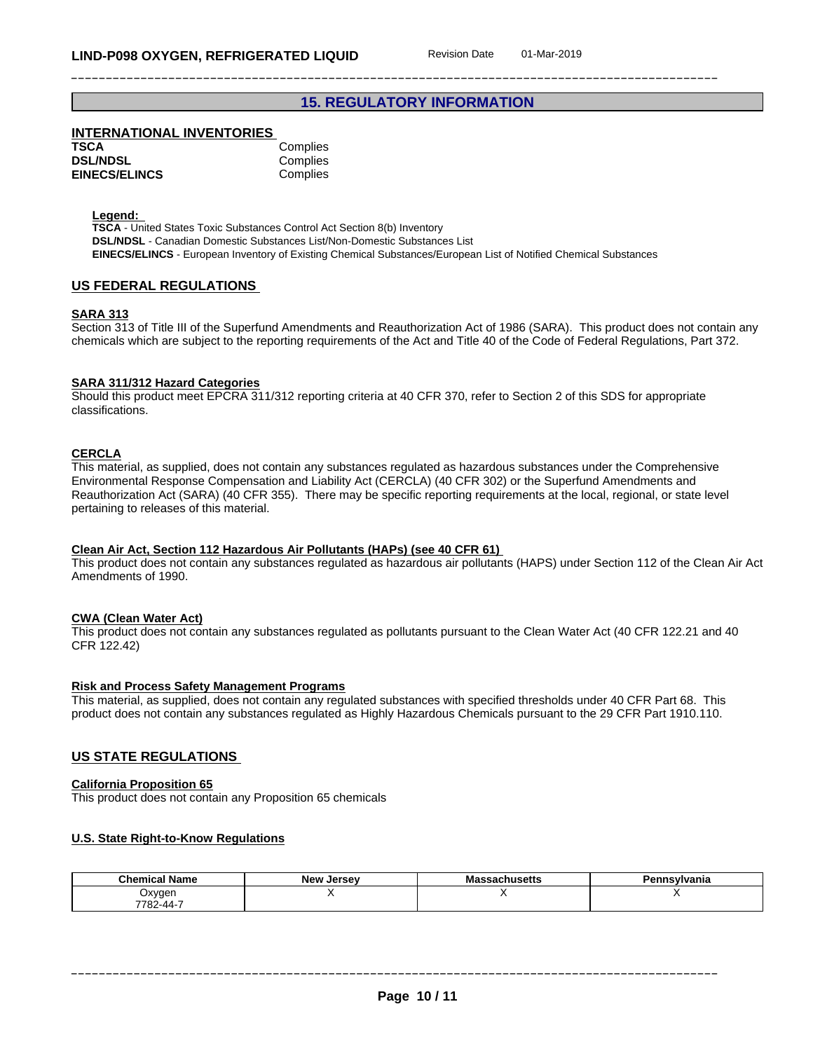## **15. REGULATORY INFORMATION**

### **INTERNATIONAL INVENTORIES**

| TSCA                 | Complies |
|----------------------|----------|
| <b>DSL/NDSL</b>      | Complies |
| <b>EINECS/ELINCS</b> | Complies |

**Legend:** 

**TSCA** - United States Toxic Substances Control Act Section 8(b) Inventory **DSL/NDSL** - Canadian Domestic Substances List/Non-Domestic Substances List **EINECS/ELINCS** - European Inventory of Existing Chemical Substances/European List of Notified Chemical Substances

#### **US FEDERAL REGULATIONS**

#### **SARA 313**

Section 313 of Title III of the Superfund Amendments and Reauthorization Act of 1986 (SARA). This product does not contain any chemicals which are subject to the reporting requirements of the Act and Title 40 of the Code of Federal Regulations, Part 372.

#### **SARA 311/312 Hazard Categories**

Should this product meet EPCRA 311/312 reporting criteria at 40 CFR 370, refer to Section 2 of this SDS for appropriate classifications.

#### **CERCLA**

This material, as supplied, does not contain any substances regulated as hazardous substances under the Comprehensive Environmental Response Compensation and Liability Act (CERCLA) (40 CFR 302) or the Superfund Amendments and Reauthorization Act (SARA) (40 CFR 355). There may be specific reporting requirements at the local, regional, or state level pertaining to releases of this material.

#### **Clean Air Act,Section 112 Hazardous Air Pollutants (HAPs) (see 40 CFR 61)**

This product does not contain any substances regulated as hazardous air pollutants (HAPS) under Section 112 of the Clean Air Act Amendments of 1990.

#### **CWA** (Clean Water Act)

This product does not contain any substances regulated as pollutants pursuant to the Clean Water Act (40 CFR 122.21 and 40 CFR 122.42)

#### **Risk and Process Safety Management Programs**

This material, as supplied, does not contain any regulated substances with specified thresholds under 40 CFR Part 68. This product does not contain any substances regulated as Highly Hazardous Chemicals pursuant to the 29 CFR Part 1910.110.

#### **US STATE REGULATIONS**

#### **California Proposition 65**

This product does not contain any Proposition 65 chemicals

#### **U.S. State Right-to-Know Regulations**

| <b>Chemical Name</b> | <b>Jersey</b><br>New | Massachusetts | n.<br>nsylvania |
|----------------------|----------------------|---------------|-----------------|
| Oxyger               |                      |               |                 |
| 7782-44-7            |                      |               |                 |